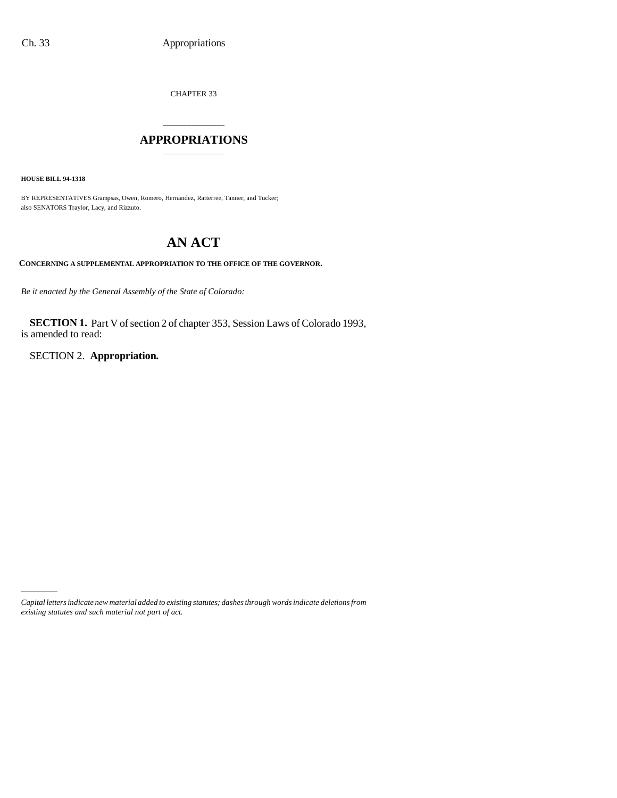CHAPTER 33

## \_\_\_\_\_\_\_\_\_\_\_\_\_\_\_ **APPROPRIATIONS** \_\_\_\_\_\_\_\_\_\_\_\_\_\_\_

**HOUSE BILL 94-1318**

BY REPRESENTATIVES Grampsas, Owen, Romero, Hernandez, Ratterree, Tanner, and Tucker; also SENATORS Traylor, Lacy, and Rizzuto.

# **AN ACT**

## **CONCERNING A SUPPLEMENTAL APPROPRIATION TO THE OFFICE OF THE GOVERNOR.**

*Be it enacted by the General Assembly of the State of Colorado:*

**SECTION 1.** Part V of section 2 of chapter 353, Session Laws of Colorado 1993, is amended to read:

SECTION 2. **Appropriation.**

*Capital letters indicate new material added to existing statutes; dashes through words indicate deletions from existing statutes and such material not part of act.*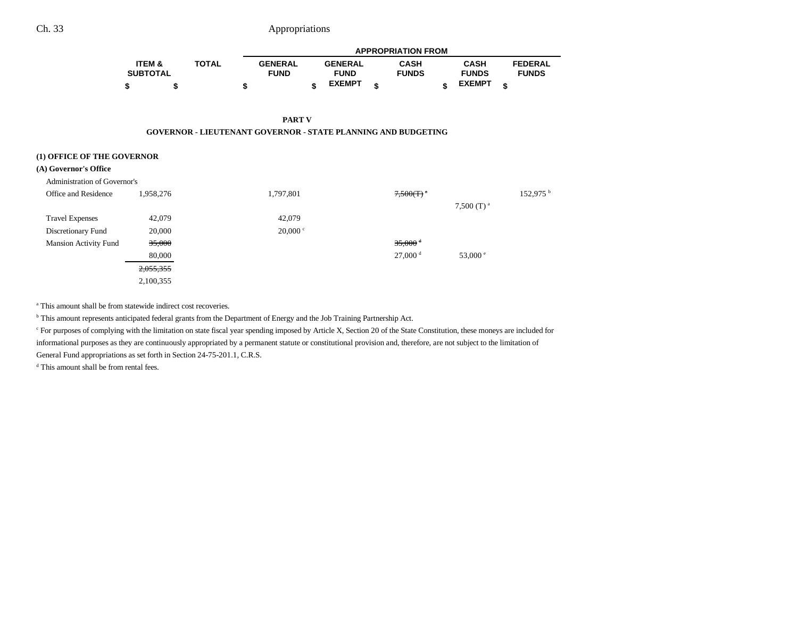|                   |              |   | <b>APPROPRIATION FROM</b> |  |                |  |              |  |               |  |                |
|-------------------|--------------|---|---------------------------|--|----------------|--|--------------|--|---------------|--|----------------|
| <b>ITEM &amp;</b> | <b>TOTAL</b> |   | <b>GENERAL</b>            |  | <b>GENERAL</b> |  | <b>CASH</b>  |  | <b>CASH</b>   |  | <b>FEDERAL</b> |
| <b>SUBTOTAL</b>   |              |   | <b>FUND</b>               |  | <b>FUND</b>    |  | <b>FUNDS</b> |  | <b>FUNDS</b>  |  | <b>FUNDS</b>   |
|                   |              | œ |                           |  | <b>EXEMPT</b>  |  |              |  | <b>EXEMPT</b> |  |                |

**PART V**

#### **GOVERNOR - LIEUTENANT GOVERNOR - STATE PLANNING AND BUDGETING**

#### **(1) OFFICE OF THE GOVERNOR**

#### **(A) Governor's Office**

| Administration of Governor's |           |                  |                       |                   |                      |
|------------------------------|-----------|------------------|-----------------------|-------------------|----------------------|
| Office and Residence         | 1,958,276 | 1,797,801        | 7,500(T)              |                   | 152,975 <sup>b</sup> |
|                              |           |                  |                       | 7,500 $(T)^a$     |                      |
| <b>Travel Expenses</b>       | 42,079    | 42,079           |                       |                   |                      |
| Discretionary Fund           | 20,000    | $20,000$ $\circ$ |                       |                   |                      |
| <b>Mansion Activity Fund</b> | 35,000    |                  | $35,000$ <sup>d</sup> |                   |                      |
|                              | 80,000    |                  | 27,000 <sup>d</sup>   | 53,000 $^{\circ}$ |                      |
|                              | 2,055,355 |                  |                       |                   |                      |
|                              | 2,100,355 |                  |                       |                   |                      |

<sup>a</sup> This amount shall be from statewide indirect cost recoveries.

b This amount represents anticipated federal grants from the Department of Energy and the Job Training Partnership Act.

<sup>c</sup> For purposes of complying with the limitation on state fiscal year spending imposed by Article X, Section 20 of the State Constitution, these moneys are included for informational purposes as they are continuously appropriated by a permanent statute or constitutional provision and, therefore, are not subject to the limitation of General Fund appropriations as set forth in Section 24-75-201.1, C.R.S.

d This amount shall be from rental fees.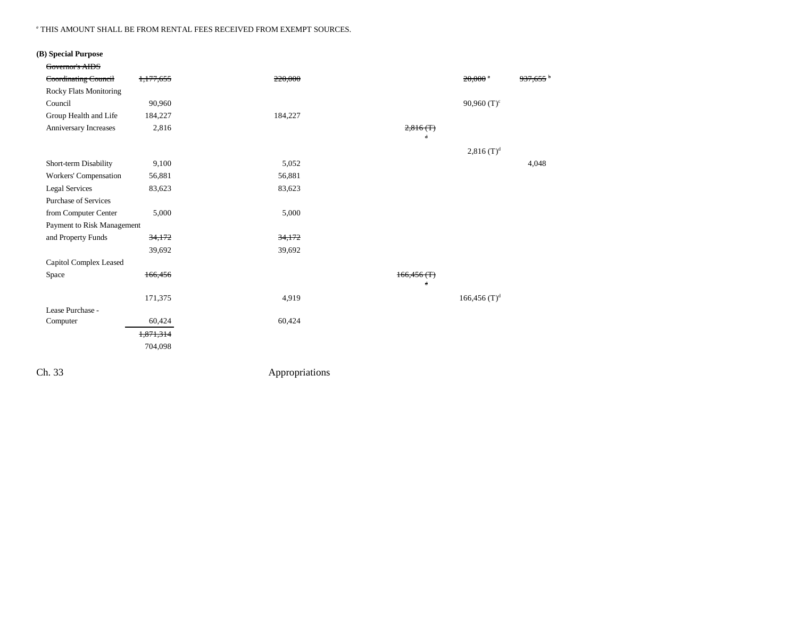#### e THIS AMOUNT SHALL BE FROM RENTAL FEES RECEIVED FROM EXEMPT SOURCES.

## **(B) Special Purpose**

| Governor's AIDS               |           |         |            |                            |                    |
|-------------------------------|-----------|---------|------------|----------------------------|--------------------|
| Coordinating Council          | 1,177,655 | 220,000 |            | $20,000$ <sup>a</sup>      | <del>937,655</del> |
| <b>Rocky Flats Monitoring</b> |           |         |            |                            |                    |
| Council                       | 90,960    |         |            | 90,960 $(T)^c$             |                    |
| Group Health and Life         | 184,227   | 184,227 |            |                            |                    |
| Anniversary Increases         | 2,816     |         | 2,816(f)   |                            |                    |
|                               |           |         | d          |                            |                    |
|                               |           |         |            | $2,816$ (T) <sup>d</sup>   |                    |
| Short-term Disability         | 9,100     | 5,052   |            |                            | 4,048              |
| Workers' Compensation         | 56,881    | 56,881  |            |                            |                    |
| <b>Legal Services</b>         | 83,623    | 83,623  |            |                            |                    |
| <b>Purchase of Services</b>   |           |         |            |                            |                    |
| from Computer Center          | 5,000     | 5,000   |            |                            |                    |
| Payment to Risk Management    |           |         |            |                            |                    |
| and Property Funds            | 34,172    | 34,172  |            |                            |                    |
|                               | 39,692    | 39,692  |            |                            |                    |
| Capitol Complex Leased        |           |         |            |                            |                    |
| Space                         | 166,456   |         | 166,456(f) |                            |                    |
|                               |           |         | 4          |                            |                    |
|                               | 171,375   | 4,919   |            | $166,456$ (T) <sup>d</sup> |                    |
| Lease Purchase -              |           |         |            |                            |                    |
| Computer                      | 60,424    | 60,424  |            |                            |                    |
|                               | 1,871,314 |         |            |                            |                    |
|                               | 704,098   |         |            |                            |                    |
|                               |           |         |            |                            |                    |

Ch. 33 Appropriations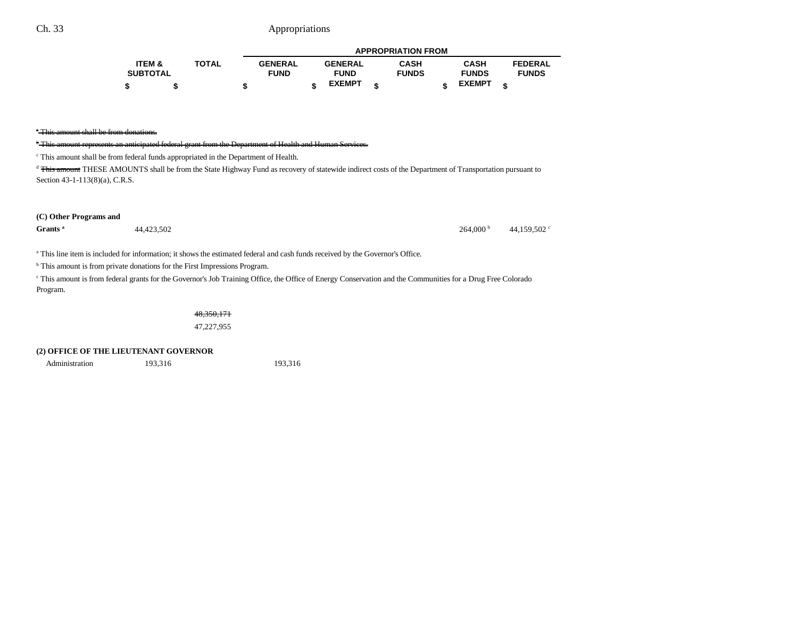|                 |              |                |                | <b>APPROPRIATION FROM</b> |               |                |
|-----------------|--------------|----------------|----------------|---------------------------|---------------|----------------|
| ITEM &          | <b>TOTAL</b> | <b>GENERAL</b> | <b>GENERAL</b> | <b>CASH</b>               | <b>CASH</b>   | <b>FEDERAL</b> |
| <b>SUBTOTAL</b> |              | <b>FUND</b>    | <b>FUND</b>    | <b>FUNDS</b>              | <b>FUNDS</b>  | <b>FUNDS</b>   |
|                 |              |                | <b>EXEMPT</b>  |                           | <b>EXEMPT</b> |                |

#### <sup>b</sup> This amount represents an anticipated federal grant from the Department of Health and Human Services.

c This amount shall be from federal funds appropriated in the Department of Health.

<sup>d</sup> This amount THESE AMOUNTS shall be from the State Highway Fund as recovery of statewide indirect costs of the Department of Transportation pursuant to Section 43-1-113(8)(a), C.R.S.

#### **(C) Other Programs and**

**Grants a** 44,423,502 44,423,502 **b** 44,423,502 **c** 45,159,502 **c** 46,159,502 **c** 46,159,502 **c** 

a This line item is included for information; it shows the estimated federal and cash funds received by the Governor's Office.

<sup>b</sup> This amount is from private donations for the First Impressions Program.

<sup>e</sup> This amount is from federal grants for the Governor's Job Training Office, the Office of Energy Conservation and the Communities for a Drug Free Colorado Program.

48,350,171

47,227,955

### **(2) OFFICE OF THE LIEUTENANT GOVERNOR**

Administration 193,316 193,316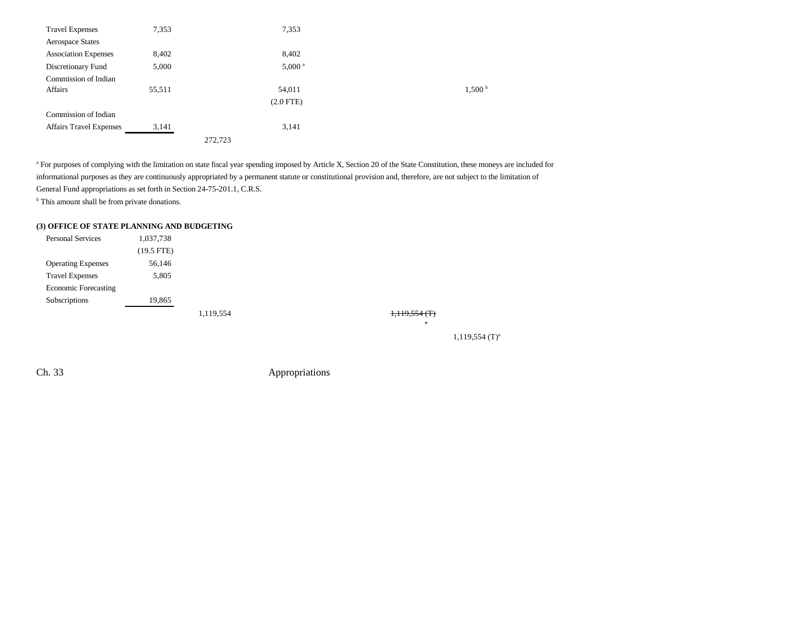| <b>Travel Expenses</b>         | 7,353  | 7,353                |                    |
|--------------------------------|--------|----------------------|--------------------|
| Aerospace States               |        |                      |                    |
| <b>Association Expenses</b>    | 8,402  | 8,402                |                    |
| Discretionary Fund             | 5,000  | $5,000$ <sup>a</sup> |                    |
| Commission of Indian           |        |                      |                    |
| Affairs                        | 55,511 | 54,011               | 1,500 <sup>b</sup> |
|                                |        | $(2.0$ FTE)          |                    |
| Commission of Indian           |        |                      |                    |
| <b>Affairs Travel Expenses</b> | 3,141  | 3,141                |                    |
|                                |        | 272,723              |                    |

<sup>a</sup> For purposes of complying with the limitation on state fiscal year spending imposed by Article X, Section 20 of the State Constitution, these moneys are included for informational purposes as they are continuously appropriated by a permanent statute or constitutional provision and, therefore, are not subject to the limitation of General Fund appropriations as set forth in Section 24-75-201.1, C.R.S. <sup>b</sup> This amount shall be from private donations.

## **(3) OFFICE OF STATE PLANNING AND BUDGETING**

| <b>Personal Services</b>    | 1,037,738    |           |  |  |
|-----------------------------|--------------|-----------|--|--|
|                             | $(19.5$ FTE) |           |  |  |
| <b>Operating Expenses</b>   | 56,146       |           |  |  |
| <b>Travel Expenses</b>      | 5,805        |           |  |  |
| <b>Economic Forecasting</b> |              |           |  |  |
| Subscriptions               | 19,865       |           |  |  |
|                             |              | 1,119,554 |  |  |

 $1,119,554$  (T)<sup>a</sup>

 $1,119,554$  (T) a

Ch. 33 Appropriations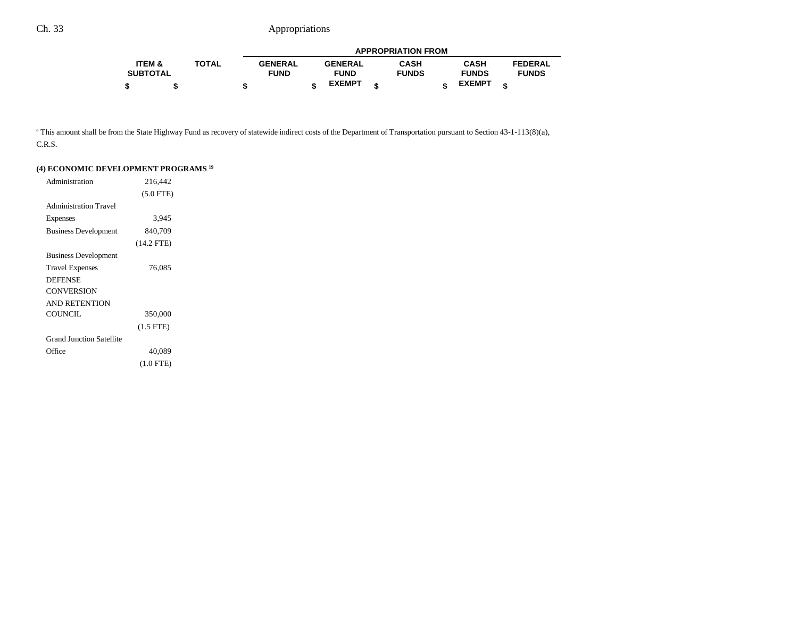|                   |       |                |                | <b>APPROPRIATION FROM</b> |               |                |
|-------------------|-------|----------------|----------------|---------------------------|---------------|----------------|
| <b>ITEM &amp;</b> | TOTAL | <b>GENERAL</b> | <b>GENERAL</b> | CASH                      | <b>CASH</b>   | <b>FEDERAL</b> |
| <b>SUBTOTAL</b>   |       | <b>FUND</b>    | <b>FUND</b>    | <b>FUNDS</b>              | <b>FUNDS</b>  | <b>FUNDS</b>   |
|                   |       |                | <b>EXEMPT</b>  |                           | <b>EXEMPT</b> |                |

<sup>a</sup> This amount shall be from the State Highway Fund as recovery of statewide indirect costs of the Department of Transportation pursuant to Section 43-1-113(8)(a), C.R.S.

| Administration                  | 216,442      |  |
|---------------------------------|--------------|--|
|                                 | $(5.0$ FTE)  |  |
| <b>Administration Travel</b>    |              |  |
| Expenses                        | 3,945        |  |
| <b>Business Development</b>     | 840,709      |  |
|                                 | $(14.2$ FTE) |  |
| <b>Business Development</b>     |              |  |
| <b>Travel Expenses</b>          | 76,085       |  |
| <b>DEFENSE</b>                  |              |  |
| <b>CONVERSION</b>               |              |  |
| <b>AND RETENTION</b>            |              |  |
| <b>COUNCIL</b>                  | 350,000      |  |
|                                 | $(1.5$ FTE)  |  |
| <b>Grand Junction Satellite</b> |              |  |
| Office                          | 40,089       |  |
|                                 | $(1.0$ FTE)  |  |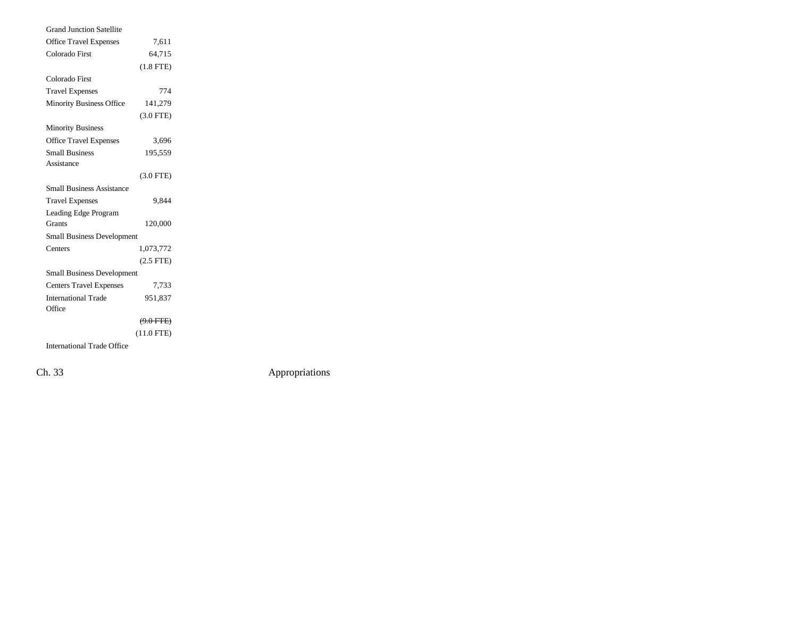| <b>Grand Junction Satellite</b>   |                |  |
|-----------------------------------|----------------|--|
| <b>Office Travel Expenses</b>     | 7,611          |  |
| Colorado First                    | 64,715         |  |
|                                   | $(1.8$ FTE $)$ |  |
| Colorado First                    |                |  |
| <b>Travel Expenses</b>            | 774            |  |
| <b>Minority Business Office</b>   | 141,279        |  |
|                                   | $(3.0$ FTE)    |  |
| <b>Minority Business</b>          |                |  |
| <b>Office Travel Expenses</b>     | 3,696          |  |
| <b>Small Business</b>             | 195,559        |  |
| Assistance                        |                |  |
|                                   | $(3.0$ FTE)    |  |
| <b>Small Business Assistance</b>  |                |  |
| <b>Travel Expenses</b>            | 9.844          |  |
| Leading Edge Program              |                |  |
| Grants                            | 120,000        |  |
| <b>Small Business Development</b> |                |  |
| Centers                           | 1,073,772      |  |
|                                   | $(2.5$ FTE $)$ |  |
| Small Business Development        |                |  |
| <b>Centers Travel Expenses</b>    | 7,733          |  |
| <b>International Trade</b>        | 951,837        |  |
| Office                            |                |  |
|                                   | $(9.0$ FTE)    |  |
|                                   | $(11.0$ FTE)   |  |
| <b>International Trade Office</b> |                |  |